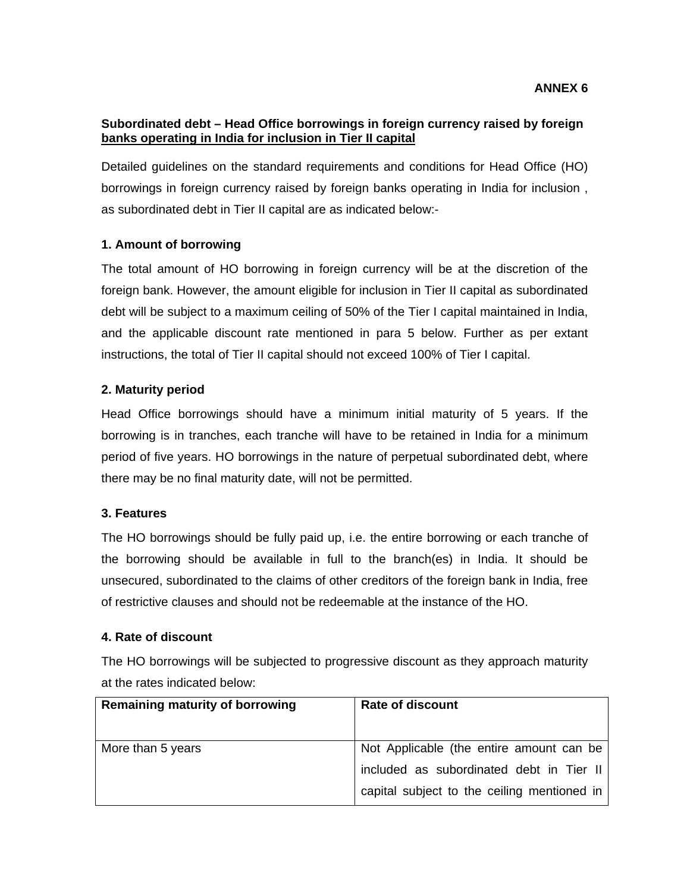### **Subordinated debt – Head Office borrowings in foreign currency raised by foreign banks operating in India for inclusion in Tier II capital**

Detailed guidelines on the standard requirements and conditions for Head Office (HO) borrowings in foreign currency raised by foreign banks operating in India for inclusion , as subordinated debt in Tier II capital are as indicated below:-

# **1. Amount of borrowing**

The total amount of HO borrowing in foreign currency will be at the discretion of the foreign bank. However, the amount eligible for inclusion in Tier II capital as subordinated debt will be subject to a maximum ceiling of 50% of the Tier I capital maintained in India, and the applicable discount rate mentioned in para 5 below. Further as per extant instructions, the total of Tier II capital should not exceed 100% of Tier I capital.

#### **2. Maturity period**

Head Office borrowings should have a minimum initial maturity of 5 years. If the borrowing is in tranches, each tranche will have to be retained in India for a minimum period of five years. HO borrowings in the nature of perpetual subordinated debt, where there may be no final maturity date, will not be permitted.

#### **3. Features**

The HO borrowings should be fully paid up, i.e. the entire borrowing or each tranche of the borrowing should be available in full to the branch(es) in India. It should be unsecured, subordinated to the claims of other creditors of the foreign bank in India, free of restrictive clauses and should not be redeemable at the instance of the HO.

#### **4. Rate of discount**

The HO borrowings will be subjected to progressive discount as they approach maturity at the rates indicated below:

| <b>Remaining maturity of borrowing</b> | <b>Rate of discount</b>                     |
|----------------------------------------|---------------------------------------------|
| More than 5 years                      | Not Applicable (the entire amount can be    |
|                                        | included as subordinated debt in Tier II    |
|                                        | capital subject to the ceiling mentioned in |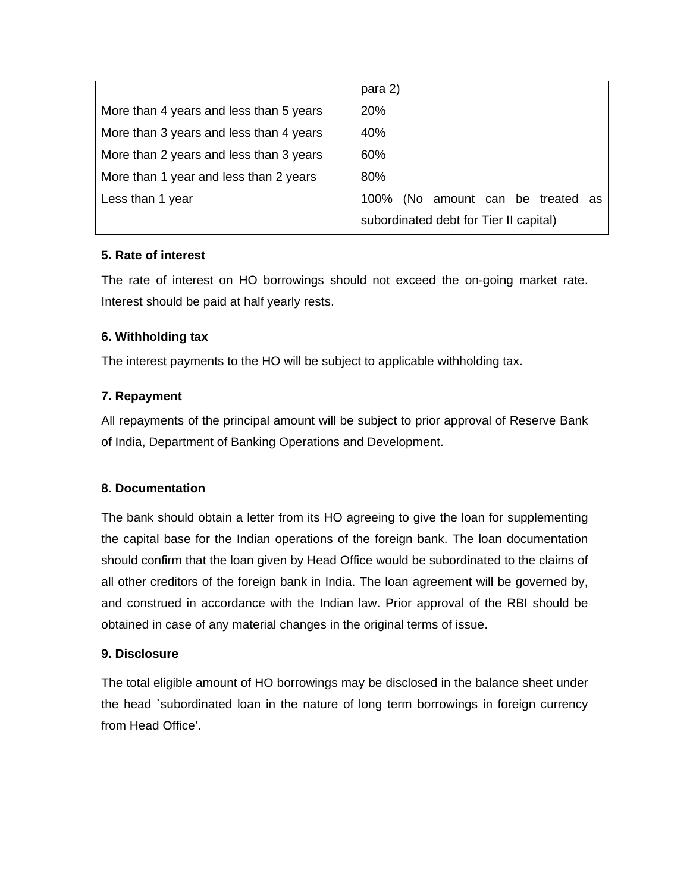|                                         | para 2)                                |
|-----------------------------------------|----------------------------------------|
| More than 4 years and less than 5 years | 20%                                    |
| More than 3 years and less than 4 years | 40%                                    |
| More than 2 years and less than 3 years | 60%                                    |
| More than 1 year and less than 2 years  | 80%                                    |
| Less than 1 year                        | 100% (No amount can be treated as      |
|                                         | subordinated debt for Tier II capital) |

# **5. Rate of interest**

The rate of interest on HO borrowings should not exceed the on-going market rate. Interest should be paid at half yearly rests.

# **6. Withholding tax**

The interest payments to the HO will be subject to applicable withholding tax.

# **7. Repayment**

All repayments of the principal amount will be subject to prior approval of Reserve Bank of India, Department of Banking Operations and Development.

# **8. Documentation**

The bank should obtain a letter from its HO agreeing to give the loan for supplementing the capital base for the Indian operations of the foreign bank. The loan documentation should confirm that the loan given by Head Office would be subordinated to the claims of all other creditors of the foreign bank in India. The loan agreement will be governed by, and construed in accordance with the Indian law. Prior approval of the RBI should be obtained in case of any material changes in the original terms of issue.

# **9. Disclosure**

The total eligible amount of HO borrowings may be disclosed in the balance sheet under the head `subordinated loan in the nature of long term borrowings in foreign currency from Head Office'.